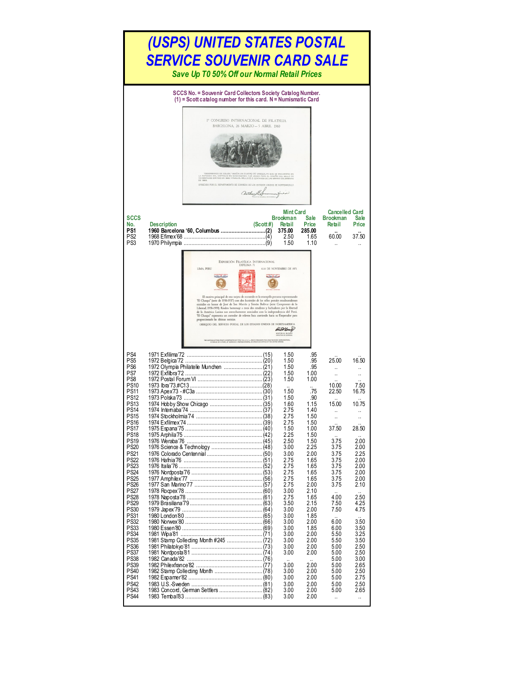| (USPS) UNITED STATES POSTAL<br>SERVICE SOUVENIR CARD SALE<br>Save Up T0 50% Off our Normal Retail Prices                                                                                                                                                                                                                                                                                                                                                                                                                                                           |                                                                                                                                                                                                                                                                                                                                                                                                                                                                                                                                                                                                                                                                                                                                                                                                                                                               |                                                    |                                                                                                                                                                                                                                                                                                              |                                                                                                                                                                                                                                                                                                         |                                                                                                                                                                                                                                                                             |                                                                                                                                                                                                                                                                                               |  |  |  |  |  |
|--------------------------------------------------------------------------------------------------------------------------------------------------------------------------------------------------------------------------------------------------------------------------------------------------------------------------------------------------------------------------------------------------------------------------------------------------------------------------------------------------------------------------------------------------------------------|---------------------------------------------------------------------------------------------------------------------------------------------------------------------------------------------------------------------------------------------------------------------------------------------------------------------------------------------------------------------------------------------------------------------------------------------------------------------------------------------------------------------------------------------------------------------------------------------------------------------------------------------------------------------------------------------------------------------------------------------------------------------------------------------------------------------------------------------------------------|----------------------------------------------------|--------------------------------------------------------------------------------------------------------------------------------------------------------------------------------------------------------------------------------------------------------------------------------------------------------------|---------------------------------------------------------------------------------------------------------------------------------------------------------------------------------------------------------------------------------------------------------------------------------------------------------|-----------------------------------------------------------------------------------------------------------------------------------------------------------------------------------------------------------------------------------------------------------------------------|-----------------------------------------------------------------------------------------------------------------------------------------------------------------------------------------------------------------------------------------------------------------------------------------------|--|--|--|--|--|
| <b>SCCS</b><br>No.<br>PS <sub>1</sub><br>PS <sub>2</sub><br>PS3                                                                                                                                                                                                                                                                                                                                                                                                                                                                                                    | SCCS No. = Souvenir Card Collectors Society Catalog Number.<br>$(1)$ = Scott catalog number for this card. N = Numismatic Card<br>1º CONGRESO INTERNACIONAL DE FILATELIA<br>BARCELONA, 26 MARZO - 5 ABRIL 1960<br>"DESEMBARCO DE COLON," SEGUN UN CUADRO DE VANDERLYN QUE SE ENCUENTRA EN<br>ROTONDA DEL CAPITOLIO EN VAGHINGTON, FUÈ USADO PARA EL DISEÑO DEL SELLO DI<br>CENTAVOS EMITIDO EN 1869, Y PARA EL SELLO DE 2 CENTAVOS DE LAS SERIES COLON<br>OFRECIDO POR EL DEPARTAMENTO DE CORREOS DE LOS ESTADOS UNIDOS DE NORTEAMERICA<br><b>Description</b>                                                                                                                                                                                                                                                                                                 | arthurs<br>(Scott #)                               | <b>Mint Card</b><br>Brookman<br>Retail<br>375.00<br>2.50<br>1.50                                                                                                                                                                                                                                             | <b>Sale</b><br>Price<br>285.00<br>1.65<br>1.10                                                                                                                                                                                                                                                          | <b>Cancelled Card</b><br><b>Brookman</b><br>Retail<br>60.00                                                                                                                                                                                                                 | Sale<br>Price<br>37.50                                                                                                                                                                                                                                                                        |  |  |  |  |  |
|                                                                                                                                                                                                                                                                                                                                                                                                                                                                                                                                                                    | LIMA, PERU<br>El motivo principal de esta tarjeta de recuerdo es la estampilla peruana representando<br>"El Chasqui" (serie de 1936-1937) con dos facsimiles de los sellos postales estadounidenses<br>emitidos en honor de José de San Martín y Simón Bolívar (serie Campeones de la<br>Libertad, 1958-1959). Rinden homenaje a estos dos estadistas y luchadores por la libertad<br>de la América Latina tan estrechamente asociados con la independencia del Perú.<br>"El Chasqui" representa un corredor de relevos Inca corriendo hacia su Emperador para<br>proporcionarle las últimas noticias.<br>OBSEQUIO DEL SERVICIO POSTAL DE LOS ESTADOS UNIDOS DE NORTEAMERICA<br>THE COPYING OF THIS PRINT IS RESTRICTED BY TITLE 18, U. S. C., WHICH PROHIBITS THE UNAUTHO<br>IN WHOLE OR IN PART, OF CURRENCY, POSTAGE STARPS, OR OTHER SECURITIES OF THE UP | EXPOSICIÓN FILATÉLICA INTERNACIONAL<br>EXFILIMA 71 | 6-14 DE NOVIEMBRE DE 1971<br>Chief Venuel                                                                                                                                                                                                                                                                    |                                                                                                                                                                                                                                                                                                         |                                                                                                                                                                                                                                                                             |                                                                                                                                                                                                                                                                                               |  |  |  |  |  |
| PS4<br>PS5<br>PS6<br>PS7<br>PS8<br><b>PS10</b><br><b>PS11</b><br><b>PS12</b><br><b>PS13</b><br><b>PS14</b><br>PS15<br>PS16<br>PS <sub>17</sub><br><b>PS18</b><br><b>PS19</b><br><b>PS20</b><br><b>PS21</b><br>PS <sub>22</sub><br><b>PS23</b><br>PS <sub>24</sub><br><b>PS25</b><br>PS <sub>26</sub><br><b>PS27</b><br><b>PS28</b><br>PS <sub>29</sub><br><b>PS30</b><br>PS31<br><b>PS32</b><br><b>PS33</b><br>PS34<br><b>PS35</b><br><b>PS36</b><br><b>PS37</b><br><b>PS38</b><br><b>PS39</b><br><b>PS40</b><br><b>PS41</b><br><b>PS42</b><br>PS43<br><b>PS44</b> | 1983 Concord, German Settlers  (82)                                                                                                                                                                                                                                                                                                                                                                                                                                                                                                                                                                                                                                                                                                                                                                                                                           |                                                    | 1.50<br>1.50<br>1.50<br>1.50<br>1.50<br>1.50<br>1.50<br>1.60<br>2.75<br>2.75<br>2.75<br>1.50<br>2.25<br>2.50<br>3.00<br>3.00<br>2.75<br>2.75<br>2.75<br>2.75<br>2.75<br>3.00<br>2.75<br>3.50<br>3.00<br>3.00<br>3.00<br>3.00<br>3.00<br>3.00<br>3.00<br>3.00<br>3.00<br>3.00<br>3.00<br>3.00<br>3.00<br>3.00 | .95<br>.95<br>.95<br>1.00<br>1.00<br>.75<br>.90<br>1.15<br>1.40<br>1.50<br>1.50<br>1.00<br>1.50<br>1.50<br>2.25<br>2.00<br>1.65<br>1.65<br>1.65<br>1.65<br>2.00<br>2.10<br>1.65<br>2.15<br>2.00<br>1.85<br>2.00<br>1.85<br>2.00<br>2.00<br>2.00<br>2.00<br>2.00<br>2.00<br>2.00<br>2.00<br>2.00<br>2.00 | 25.00<br>ä.<br>10.00<br>22.50<br>15.00<br>Ω.<br>37.50<br>$\ddot{\phantom{a}}$<br>3.75<br>3.75<br>3.75<br>3.75<br>3.75<br>3.75<br>3.75<br>3.75<br>4.00<br>7.50<br>7.50<br>6.00<br>6.00<br>5.50<br>5.50<br>5.00<br>5.00<br>5.00<br>5.00<br>5.00<br>5.00<br>5.00<br>5.00<br>ä, | 16.50<br>$\ddot{\phantom{a}}$<br>7.50<br>16.75<br>10.75<br>$\ddot{\phantom{a}}$<br>28.50<br>2.00<br>2.00<br>2.25<br>2.00<br>2.00<br>2.00<br>2.00<br>2.10<br>2.50<br>4.25<br>4.75<br>3.50<br>3.50<br>3.25<br>3.50<br>2.50<br>2.50<br>3.00<br>2.65<br>2.50<br>2.75<br>2.50<br>2.65<br>$\ddotsc$ |  |  |  |  |  |